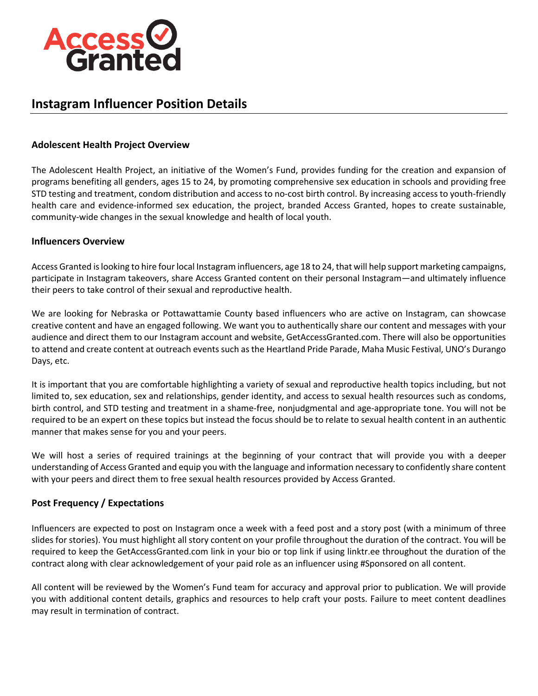

# **Instagram Influencer Position Details**

## **Adolescent Health Project Overview**

The Adolescent Health Project, an initiative of the Women's Fund, provides funding for the creation and expansion of programs benefiting all genders, ages 15 to 24, by promoting comprehensive sex education in schools and providing free STD testing and treatment, condom distribution and access to no-cost birth control. By increasing access to youth-friendly health care and evidence-informed sex education, the project, branded Access Granted, hopes to create sustainable, community-wide changes in the sexual knowledge and health of local youth.

#### **Influencers Overview**

Access Granted is looking to hire four local Instagram influencers, age 18 to 24, that will help support marketing campaigns, participate in Instagram takeovers, share Access Granted content on their personal Instagram—and ultimately influence their peers to take control of their sexual and reproductive health.

We are looking for Nebraska or Pottawattamie County based influencers who are active on Instagram, can showcase creative content and have an engaged following. We want you to authentically share our content and messages with your audience and direct them to our Instagram account and website, GetAccessGranted.com. There will also be opportunities to attend and create content at outreach events such as the Heartland Pride Parade, Maha Music Festival, UNO's Durango Days, etc.

It is important that you are comfortable highlighting a variety of sexual and reproductive health topics including, but not limited to, sex education, sex and relationships, gender identity, and access to sexual health resources such as condoms, birth control, and STD testing and treatment in a shame-free, nonjudgmental and age-appropriate tone. You will not be required to be an expert on these topics but instead the focus should be to relate to sexual health content in an authentic manner that makes sense for you and your peers.

We will host a series of required trainings at the beginning of your contract that will provide you with a deeper understanding of Access Granted and equip you with the language and information necessary to confidently share content with your peers and direct them to free sexual health resources provided by Access Granted.

## **Post Frequency / Expectations**

Influencers are expected to post on Instagram once a week with a feed post and a story post (with a minimum of three slides for stories). You must highlight all story content on your profile throughout the duration of the contract. You will be required to keep the GetAccessGranted.com link in your bio or top link if using linktr.ee throughout the duration of the contract along with clear acknowledgement of your paid role as an influencer using #Sponsored on all content.

All content will be reviewed by the Women's Fund team for accuracy and approval prior to publication. We will provide you with additional content details, graphics and resources to help craft your posts. Failure to meet content deadlines may result in termination of contract.